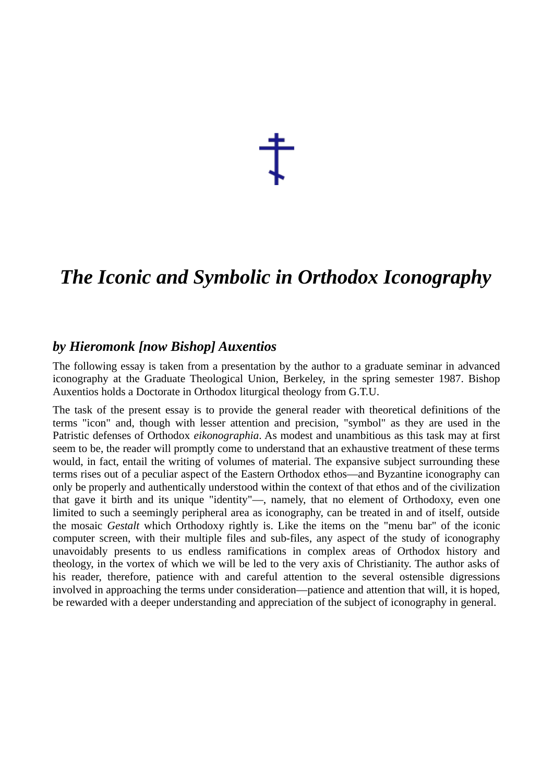于

## *The Iconic and Symbolic in Orthodox Iconography*

## *by Hieromonk [now Bishop] Auxentios*

The following essay is taken from a presentation by the author to a graduate seminar in advanced iconography at the Graduate Theological Union, Berkeley, in the spring semester 1987. Bishop Auxentios holds a Doctorate in Orthodox liturgical theology from G.T.U.

The task of the present essay is to provide the general reader with theoretical definitions of the terms "icon" and, though with lesser attention and precision, "symbol" as they are used in the Patristic defenses of Orthodox *eikonographia*. As modest and unambitious as this task may at first seem to be, the reader will promptly come to understand that an exhaustive treatment of these terms would, in fact, entail the writing of volumes of material. The expansive subject surrounding these terms rises out of a peculiar aspect of the Eastern Orthodox ethos—and Byzantine iconography can only be properly and authentically understood within the context of that ethos and of the civilization that gave it birth and its unique "identity"—, namely, that no element of Orthodoxy, even one limited to such a seemingly peripheral area as iconography, can be treated in and of itself, outside the mosaic *Gestalt* which Orthodoxy rightly is. Like the items on the "menu bar" of the iconic computer screen, with their multiple files and sub-files, any aspect of the study of iconography unavoidably presents to us endless ramifications in complex areas of Orthodox history and theology, in the vortex of which we will be led to the very axis of Christianity. The author asks of his reader, therefore, patience with and careful attention to the several ostensible digressions involved in approaching the terms under consideration—patience and attention that will, it is hoped, be rewarded with a deeper understanding and appreciation of the subject of iconography in general.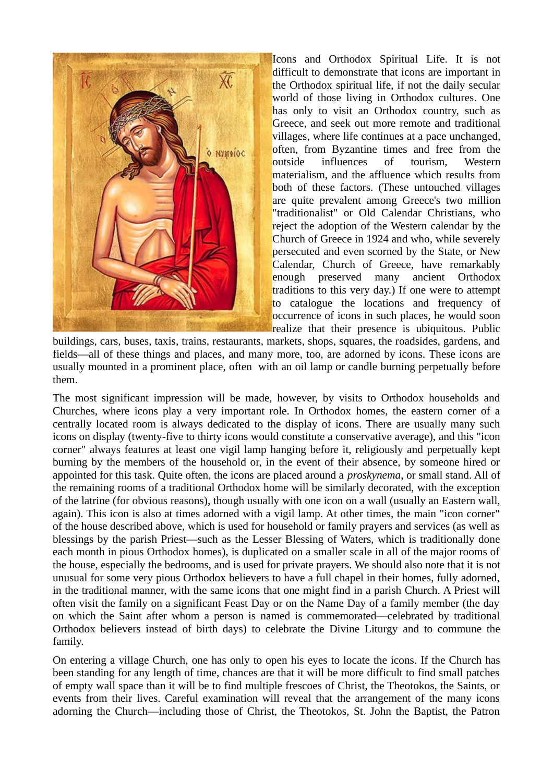

Icons and Orthodox Spiritual Life. It is not difficult to demonstrate that icons are important in the Orthodox spiritual life, if not the daily secular world of those living in Orthodox cultures. One has only to visit an Orthodox country, such as Greece, and seek out more remote and traditional villages, where life continues at a pace unchanged, often, from Byzantine times and free from the outside influences of tourism, Western materialism, and the affluence which results from both of these factors. (These untouched villages are quite prevalent among Greece's two million "traditionalist" or Old Calendar Christians, who reject the adoption of the Western calendar by the Church of Greece in 1924 and who, while severely persecuted and even scorned by the State, or New Calendar, Church of Greece, have remarkably enough preserved many ancient Orthodox traditions to this very day.) If one were to attempt to catalogue the locations and frequency of occurrence of icons in such places, he would soon realize that their presence is ubiquitous. Public

buildings, cars, buses, taxis, trains, restaurants, markets, shops, squares, the roadsides, gardens, and fields—all of these things and places, and many more, too, are adorned by icons. These icons are usually mounted in a prominent place, often with an oil lamp or candle burning perpetually before them.

The most significant impression will be made, however, by visits to Orthodox households and Churches, where icons play a very important role. In Orthodox homes, the eastern corner of a centrally located room is always dedicated to the display of icons. There are usually many such icons on display (twenty-five to thirty icons would constitute a conservative average), and this "icon corner" always features at least one vigil lamp hanging before it, religiously and perpetually kept burning by the members of the household or, in the event of their absence, by someone hired or appointed for this task. Quite often, the icons are placed around a *proskynema*, or small stand. All of the remaining rooms of a traditional Orthodox home will be similarly decorated, with the exception of the latrine (for obvious reasons), though usually with one icon on a wall (usually an Eastern wall, again). This icon is also at times adorned with a vigil lamp. At other times, the main "icon corner" of the house described above, which is used for household or family prayers and services (as well as blessings by the parish Priest—such as the Lesser Blessing of Waters, which is traditionally done each month in pious Orthodox homes), is duplicated on a smaller scale in all of the major rooms of the house, especially the bedrooms, and is used for private prayers. We should also note that it is not unusual for some very pious Orthodox believers to have a full chapel in their homes, fully adorned, in the traditional manner, with the same icons that one might find in a parish Church. A Priest will often visit the family on a significant Feast Day or on the Name Day of a family member (the day on which the Saint after whom a person is named is commemorated—celebrated by traditional Orthodox believers instead of birth days) to celebrate the Divine Liturgy and to commune the family.

On entering a village Church, one has only to open his eyes to locate the icons. If the Church has been standing for any length of time, chances are that it will be more difficult to find small patches of empty wall space than it will be to find multiple frescoes of Christ, the Theotokos, the Saints, or events from their lives. Careful examination will reveal that the arrangement of the many icons adorning the Church—including those of Christ, the Theotokos, St. John the Baptist, the Patron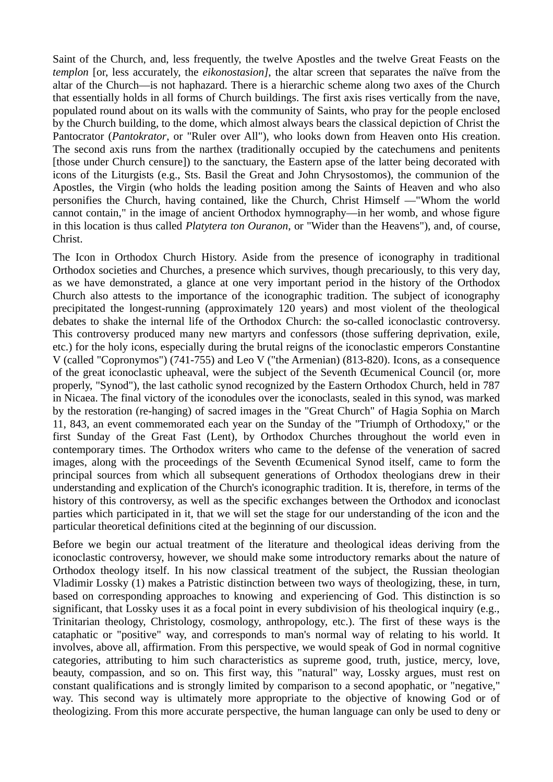Saint of the Church, and, less frequently, the twelve Apostles and the twelve Great Feasts on the *templon* [or, less accurately, the *eikonostasion]*, the altar screen that separates the naïve from the altar of the Church—is not haphazard. There is a hierarchic scheme along two axes of the Church that essentially holds in all forms of Church buildings. The first axis rises vertically from the nave, populated round about on its walls with the community of Saints, who pray for the people enclosed by the Church building, to the dome, which almost always bears the classical depiction of Christ the Pantocrator (*Pantokrator*, or "Ruler over All"), who looks down from Heaven onto His creation. The second axis runs from the narthex (traditionally occupied by the catechumens and penitents [those under Church censure]) to the sanctuary, the Eastern apse of the latter being decorated with icons of the Liturgists (e.g., Sts. Basil the Great and John Chrysostomos), the communion of the Apostles, the Virgin (who holds the leading position among the Saints of Heaven and who also personifies the Church, having contained, like the Church, Christ Himself —"Whom the world cannot contain," in the image of ancient Orthodox hymnography—in her womb, and whose figure in this location is thus called *Platytera ton Ouranon*, or "Wider than the Heavens"), and, of course, Christ.

The Icon in Orthodox Church History. Aside from the presence of iconography in traditional Orthodox societies and Churches, a presence which survives, though precariously, to this very day, as we have demonstrated, a glance at one very important period in the history of the Orthodox Church also attests to the importance of the iconographic tradition. The subject of iconography precipitated the longest-running (approximately 120 years) and most violent of the theological debates to shake the internal life of the Orthodox Church: the so-called iconoclastic controversy. This controversy produced many new martyrs and confessors (those suffering deprivation, exile, etc.) for the holy icons, especially during the brutal reigns of the iconoclastic emperors Constantine V (called "Copronymos") (741-755) and Leo V ("the Armenian) (813-820). Icons, as a consequence of the great iconoclastic upheaval, were the subject of the Seventh Œcumenical Council (or, more properly, "Synod"), the last catholic synod recognized by the Eastern Orthodox Church, held in 787 in Nicaea. The final victory of the iconodules over the iconoclasts, sealed in this synod, was marked by the restoration (re-hanging) of sacred images in the "Great Church" of Hagia Sophia on March 11, 843, an event commemorated each year on the Sunday of the "Triumph of Orthodoxy," or the first Sunday of the Great Fast (Lent), by Orthodox Churches throughout the world even in contemporary times. The Orthodox writers who came to the defense of the veneration of sacred images, along with the proceedings of the Seventh Œcumenical Synod itself, came to form the principal sources from which all subsequent generations of Orthodox theologians drew in their understanding and explication of the Church's iconographic tradition. It is, therefore, in terms of the history of this controversy, as well as the specific exchanges between the Orthodox and iconoclast parties which participated in it, that we will set the stage for our understanding of the icon and the particular theoretical definitions cited at the beginning of our discussion.

Before we begin our actual treatment of the literature and theological ideas deriving from the iconoclastic controversy, however, we should make some introductory remarks about the nature of Orthodox theology itself. In his now classical treatment of the subject, the Russian theologian Vladimir Lossky (1) makes a Patristic distinction between two ways of theologizing, these, in turn, based on corresponding approaches to knowing and experiencing of God. This distinction is so significant, that Lossky uses it as a focal point in every subdivision of his theological inquiry (e.g., Trinitarian theology, Christology, cosmology, anthropology, etc.). The first of these ways is the cataphatic or "positive" way, and corresponds to man's normal way of relating to his world. It involves, above all, affirmation. From this perspective, we would speak of God in normal cognitive categories, attributing to him such characteristics as supreme good, truth, justice, mercy, love, beauty, compassion, and so on. This first way, this "natural" way, Lossky argues, must rest on constant qualifications and is strongly limited by comparison to a second apophatic, or "negative," way. This second way is ultimately more appropriate to the objective of knowing God or of theologizing. From this more accurate perspective, the human language can only be used to deny or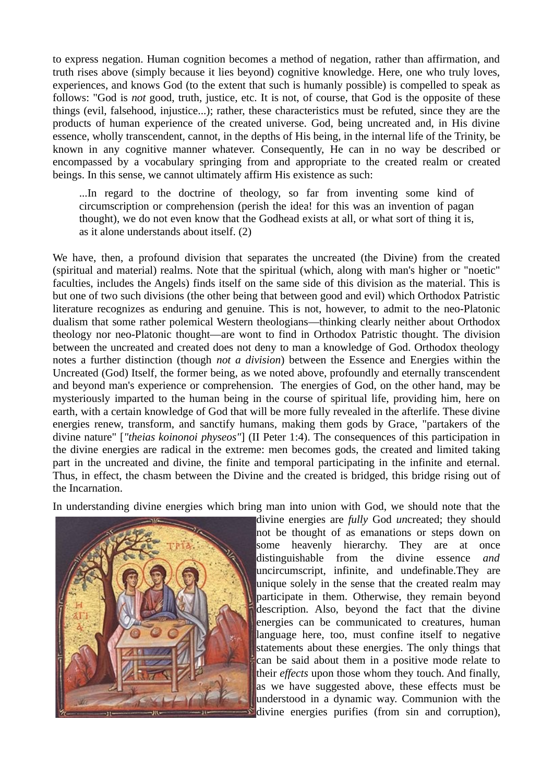to express negation. Human cognition becomes a method of negation, rather than affirmation, and truth rises above (simply because it lies beyond) cognitive knowledge. Here, one who truly loves, experiences, and knows God (to the extent that such is humanly possible) is compelled to speak as follows: "God is *not* good, truth, justice, etc. It is not, of course, that God is the opposite of these things (evil, falsehood, injustice...); rather, these characteristics must be refuted, since they are the products of human experience of the created universe. God, being uncreated and, in His divine essence, wholly transcendent, cannot, in the depths of His being, in the internal life of the Trinity, be known in any cognitive manner whatever. Consequently, He can in no way be described or encompassed by a vocabulary springing from and appropriate to the created realm or created beings. In this sense, we cannot ultimately affirm His existence as such:

...In regard to the doctrine of theology, so far from inventing some kind of circumscription or comprehension (perish the idea! for this was an invention of pagan thought), we do not even know that the Godhead exists at all, or what sort of thing it is, as it alone understands about itself. (2)

We have, then, a profound division that separates the uncreated (the Divine) from the created (spiritual and material) realms. Note that the spiritual (which, along with man's higher or "noetic" faculties, includes the Angels) finds itself on the same side of this division as the material. This is but one of two such divisions (the other being that between good and evil) which Orthodox Patristic literature recognizes as enduring and genuine. This is not, however, to admit to the neo-Platonic dualism that some rather polemical Western theologians—thinking clearly neither about Orthodox theology nor neo-Platonic thought—are wont to find in Orthodox Patristic thought. The division between the uncreated and created does not deny to man a knowledge of God. Orthodox theology notes a further distinction (though *not a division*) between the Essence and Energies within the Uncreated (God) Itself, the former being, as we noted above, profoundly and eternally transcendent and beyond man's experience or comprehension. The energies of God, on the other hand, may be mysteriously imparted to the human being in the course of spiritual life, providing him, here on earth, with a certain knowledge of God that will be more fully revealed in the afterlife. These divine energies renew, transform, and sanctify humans, making them gods by Grace, "partakers of the divine nature" [*"theias koinonoi physeos"*] (II Peter 1:4). The consequences of this participation in the divine energies are radical in the extreme: men becomes gods, the created and limited taking part in the uncreated and divine, the finite and temporal participating in the infinite and eternal. Thus, in effect, the chasm between the Divine and the created is bridged, this bridge rising out of the Incarnation.

In understanding divine energies which bring man into union with God, we should note that the



divine energies are *fully* God *un*created; they should not be thought of as emanations or steps down on some heavenly hierarchy. They are at once distinguishable from the divine essence *and* uncircumscript, infinite, and undefinable.They are unique solely in the sense that the created realm may participate in them. Otherwise, they remain beyond description. Also, beyond the fact that the divine energies can be communicated to creatures, human language here, too, must confine itself to negative statements about these energies. The only things that can be said about them in a positive mode relate to their *effects* upon those whom they touch. And finally, as we have suggested above, these effects must be understood in a dynamic way. Communion with the divine energies purifies (from sin and corruption),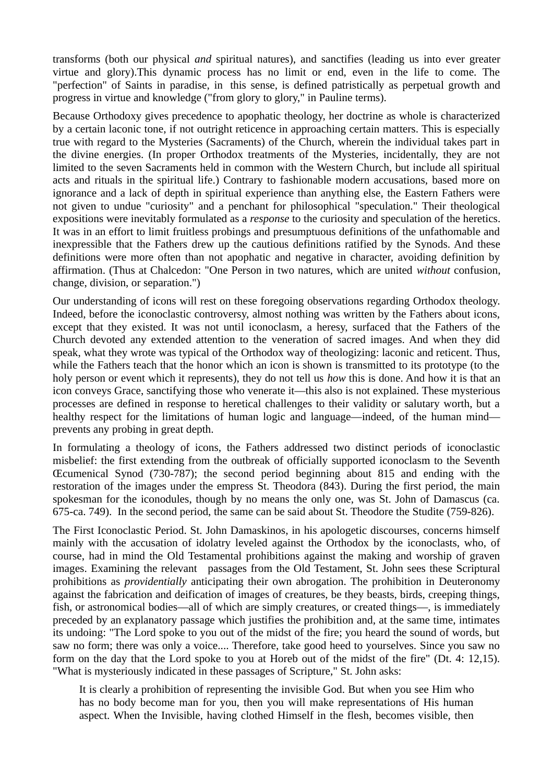transforms (both our physical *and* spiritual natures), and sanctifies (leading us into ever greater virtue and glory).This dynamic process has no limit or end, even in the life to come. The "perfection" of Saints in paradise, in this sense, is defined patristically as perpetual growth and progress in virtue and knowledge ("from glory to glory," in Pauline terms).

Because Orthodoxy gives precedence to apophatic theology, her doctrine as whole is characterized by a certain laconic tone, if not outright reticence in approaching certain matters. This is especially true with regard to the Mysteries (Sacraments) of the Church, wherein the individual takes part in the divine energies. (In proper Orthodox treatments of the Mysteries, incidentally, they are not limited to the seven Sacraments held in common with the Western Church, but include all spiritual acts and rituals in the spiritual life.) Contrary to fashionable modern accusations, based more on ignorance and a lack of depth in spiritual experience than anything else, the Eastern Fathers were not given to undue "curiosity" and a penchant for philosophical "speculation." Their theological expositions were inevitably formulated as a *response* to the curiosity and speculation of the heretics. It was in an effort to limit fruitless probings and presumptuous definitions of the unfathomable and inexpressible that the Fathers drew up the cautious definitions ratified by the Synods. And these definitions were more often than not apophatic and negative in character, avoiding definition by affirmation. (Thus at Chalcedon: "One Person in two natures, which are united *without* confusion, change, division, or separation.")

Our understanding of icons will rest on these foregoing observations regarding Orthodox theology. Indeed, before the iconoclastic controversy, almost nothing was written by the Fathers about icons, except that they existed. It was not until iconoclasm, a heresy, surfaced that the Fathers of the Church devoted any extended attention to the veneration of sacred images. And when they did speak, what they wrote was typical of the Orthodox way of theologizing: laconic and reticent. Thus, while the Fathers teach that the honor which an icon is shown is transmitted to its prototype (to the holy person or event which it represents), they do not tell us *how* this is done. And how it is that an icon conveys Grace, sanctifying those who venerate it—this also is not explained. These mysterious processes are defined in response to heretical challenges to their validity or salutary worth, but a healthy respect for the limitations of human logic and language—indeed, of the human mind prevents any probing in great depth.

In formulating a theology of icons, the Fathers addressed two distinct periods of iconoclastic misbelief: the first extending from the outbreak of officially supported iconoclasm to the Seventh Œcumenical Synod (730-787); the second period beginning about 815 and ending with the restoration of the images under the empress St. Theodora (843). During the first period, the main spokesman for the iconodules, though by no means the only one, was St. John of Damascus (ca. 675-ca. 749). In the second period, the same can be said about St. Theodore the Studite (759-826).

The First Iconoclastic Period. St. John Damaskinos, in his apologetic discourses, concerns himself mainly with the accusation of idolatry leveled against the Orthodox by the iconoclasts, who, of course, had in mind the Old Testamental prohibitions against the making and worship of graven images. Examining the relevant passages from the Old Testament, St. John sees these Scriptural prohibitions as *providentially* anticipating their own abrogation. The prohibition in Deuteronomy against the fabrication and deification of images of creatures, be they beasts, birds, creeping things, fish, or astronomical bodies—all of which are simply creatures, or created things—, is immediately preceded by an explanatory passage which justifies the prohibition and, at the same time, intimates its undoing: "The Lord spoke to you out of the midst of the fire; you heard the sound of words, but saw no form; there was only a voice.... Therefore, take good heed to yourselves. Since you saw no form on the day that the Lord spoke to you at Horeb out of the midst of the fire" (Dt. 4: 12,15). "What is mysteriously indicated in these passages of Scripture," St. John asks:

It is clearly a prohibition of representing the invisible God. But when you see Him who has no body become man for you, then you will make representations of His human aspect. When the Invisible, having clothed Himself in the flesh, becomes visible, then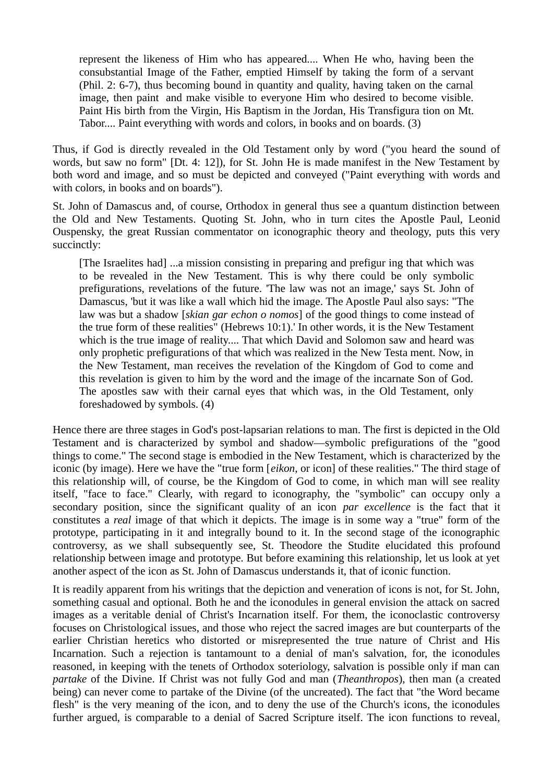represent the likeness of Him who has appeared.... When He who, having been the consubstantial Image of the Father, emptied Himself by taking the form of a servant (Phil. 2: 6-7), thus becoming bound in quantity and quality, having taken on the carnal image, then paint and make visible to everyone Him who desired to become visible. Paint His birth from the Virgin, His Baptism in the Jordan, His Transfigura tion on Mt. Tabor.... Paint everything with words and colors, in books and on boards. (3)

Thus, if God is directly revealed in the Old Testament only by word ("you heard the sound of words, but saw no form" [Dt. 4: 12]), for St. John He is made manifest in the New Testament by both word and image, and so must be depicted and conveyed ("Paint everything with words and with colors, in books and on boards").

St. John of Damascus and, of course, Orthodox in general thus see a quantum distinction between the Old and New Testaments. Quoting St. John, who in turn cites the Apostle Paul, Leonid Ouspensky, the great Russian commentator on iconographic theory and theology, puts this very succinctly:

[The Israelites had] ...a mission consisting in preparing and prefigur ing that which was to be revealed in the New Testament. This is why there could be only symbolic prefigurations, revelations of the future. 'The law was not an image,' says St. John of Damascus, 'but it was like a wall which hid the image. The Apostle Paul also says: "The law was but a shadow [*skian gar echon o nomos*] of the good things to come instead of the true form of these realities" (Hebrews 10:1).' In other words, it is the New Testament which is the true image of reality.... That which David and Solomon saw and heard was only prophetic prefigurations of that which was realized in the New Testa ment. Now, in the New Testament, man receives the revelation of the Kingdom of God to come and this revelation is given to him by the word and the image of the incarnate Son of God. The apostles saw with their carnal eyes that which was, in the Old Testament, only foreshadowed by symbols. (4)

Hence there are three stages in God's post-lapsarian relations to man. The first is depicted in the Old Testament and is characterized by symbol and shadow—symbolic prefigurations of the "good things to come." The second stage is embodied in the New Testament, which is characterized by the iconic (by image). Here we have the "true form [*eikon*, or icon] of these realities." The third stage of this relationship will, of course, be the Kingdom of God to come, in which man will see reality itself, "face to face." Clearly, with regard to iconography, the "symbolic" can occupy only a secondary position, since the significant quality of an icon *par excellence* is the fact that it constitutes a *real* image of that which it depicts. The image is in some way a "true" form of the prototype, participating in it and integrally bound to it. In the second stage of the iconographic controversy, as we shall subsequently see, St. Theodore the Studite elucidated this profound relationship between image and prototype. But before examining this relationship, let us look at yet another aspect of the icon as St. John of Damascus understands it, that of iconic function.

It is readily apparent from his writings that the depiction and veneration of icons is not, for St. John, something casual and optional. Both he and the iconodules in general envision the attack on sacred images as a veritable denial of Christ's Incarnation itself. For them, the iconoclastic controversy focuses on Christological issues, and those who reject the sacred images are but counterparts of the earlier Christian heretics who distorted or misrepresented the true nature of Christ and His Incarnation. Such a rejection is tantamount to a denial of man's salvation, for, the iconodules reasoned, in keeping with the tenets of Orthodox soteriology, salvation is possible only if man can *partake* of the Divine. If Christ was not fully God and man (*Theanthropos*), then man (a created being) can never come to partake of the Divine (of the uncreated). The fact that "the Word became flesh" is the very meaning of the icon, and to deny the use of the Church's icons, the iconodules further argued, is comparable to a denial of Sacred Scripture itself. The icon functions to reveal,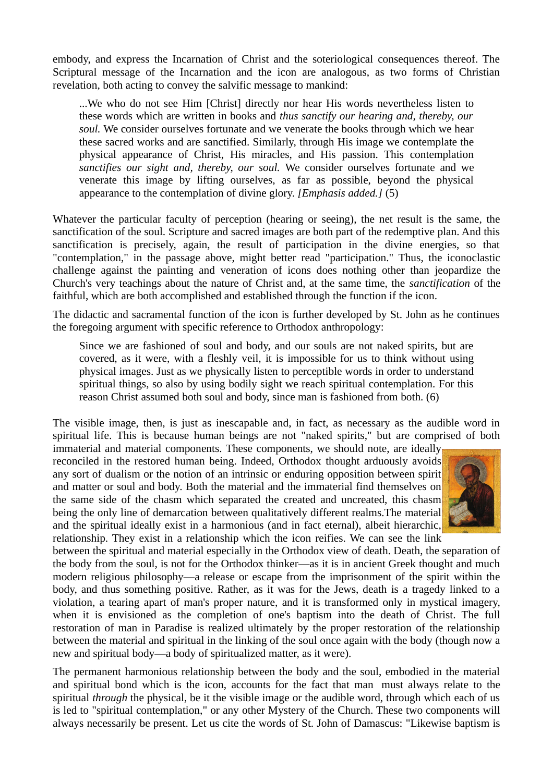embody, and express the Incarnation of Christ and the soteriological consequences thereof. The Scriptural message of the Incarnation and the icon are analogous, as two forms of Christian revelation, both acting to convey the salvific message to mankind:

...We who do not see Him [Christ] directly nor hear His words nevertheless listen to these words which are written in books and *thus sanctify our hearing and, thereby, our soul.* We consider ourselves fortunate and we venerate the books through which we hear these sacred works and are sanctified. Similarly, through His image we contemplate the physical appearance of Christ, His miracles, and His passion. This contemplation *sanctifies our sight and, thereby, our soul.* We consider ourselves fortunate and we venerate this image by lifting ourselves, as far as possible, beyond the physical appearance to the contemplation of divine glory. *[Emphasis added.]* (5)

Whatever the particular faculty of perception (hearing or seeing), the net result is the same, the sanctification of the soul. Scripture and sacred images are both part of the redemptive plan. And this sanctification is precisely, again, the result of participation in the divine energies, so that "contemplation," in the passage above, might better read "participation." Thus, the iconoclastic challenge against the painting and veneration of icons does nothing other than jeopardize the Church's very teachings about the nature of Christ and, at the same time, the *sanctification* of the faithful, which are both accomplished and established through the function if the icon.

The didactic and sacramental function of the icon is further developed by St. John as he continues the foregoing argument with specific reference to Orthodox anthropology:

Since we are fashioned of soul and body, and our souls are not naked spirits, but are covered, as it were, with a fleshly veil, it is impossible for us to think without using physical images. Just as we physically listen to perceptible words in order to understand spiritual things, so also by using bodily sight we reach spiritual contemplation. For this reason Christ assumed both soul and body, since man is fashioned from both. (6)

The visible image, then, is just as inescapable and, in fact, as necessary as the audible word in spiritual life. This is because human beings are not "naked spirits," but are comprised of both immaterial and material components. These components, we should note, are ideally

reconciled in the restored human being. Indeed, Orthodox thought arduously avoids any sort of dualism or the notion of an intrinsic or enduring opposition between spirit and matter or soul and body. Both the material and the immaterial find themselves on the same side of the chasm which separated the created and uncreated, this chasm being the only line of demarcation between qualitatively different realms. The material and the spiritual ideally exist in a harmonious (and in fact eternal), albeit hierarchic, relationship. They exist in a relationship which the icon reifies. We can see the link



between the spiritual and material especially in the Orthodox view of death. Death, the separation of the body from the soul, is not for the Orthodox thinker—as it is in ancient Greek thought and much modern religious philosophy—a release or escape from the imprisonment of the spirit within the body, and thus something positive. Rather, as it was for the Jews, death is a tragedy linked to a violation, a tearing apart of man's proper nature, and it is transformed only in mystical imagery, when it is envisioned as the completion of one's baptism into the death of Christ. The full restoration of man in Paradise is realized ultimately by the proper restoration of the relationship between the material and spiritual in the linking of the soul once again with the body (though now a new and spiritual body—a body of spiritualized matter, as it were).

The permanent harmonious relationship between the body and the soul, embodied in the material and spiritual bond which is the icon, accounts for the fact that man must always relate to the spiritual *through* the physical, be it the visible image or the audible word, through which each of us is led to "spiritual contemplation," or any other Mystery of the Church. These two components will always necessarily be present. Let us cite the words of St. John of Damascus: "Likewise baptism is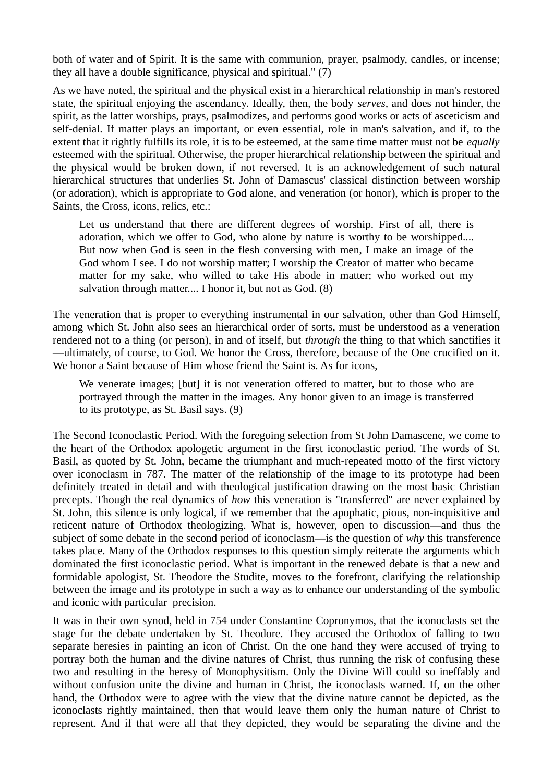both of water and of Spirit. It is the same with communion, prayer, psalmody, candles, or incense; they all have a double significance, physical and spiritual." (7)

As we have noted, the spiritual and the physical exist in a hierarchical relationship in man's restored state, the spiritual enjoying the ascendancy. Ideally, then, the body *serves,* and does not hinder, the spirit, as the latter worships, prays, psalmodizes, and performs good works or acts of asceticism and self-denial. If matter plays an important, or even essential, role in man's salvation, and if, to the extent that it rightly fulfills its role, it is to be esteemed, at the same time matter must not be *equally* esteemed with the spiritual. Otherwise, the proper hierarchical relationship between the spiritual and the physical would be broken down, if not reversed. It is an acknowledgement of such natural hierarchical structures that underlies St. John of Damascus' classical distinction between worship (or adoration), which is appropriate to God alone, and veneration (or honor), which is proper to the Saints, the Cross, icons, relics, etc.:

Let us understand that there are different degrees of worship. First of all, there is adoration, which we offer to God, who alone by nature is worthy to be worshipped.... But now when God is seen in the flesh conversing with men, I make an image of the God whom I see. I do not worship matter; I worship the Creator of matter who became matter for my sake, who willed to take His abode in matter; who worked out my salvation through matter.... I honor it, but not as God. (8)

The veneration that is proper to everything instrumental in our salvation, other than God Himself, among which St. John also sees an hierarchical order of sorts, must be understood as a veneration rendered not to a thing (or person), in and of itself, but *through* the thing to that which sanctifies it —ultimately, of course, to God. We honor the Cross, therefore, because of the One crucified on it. We honor a Saint because of Him whose friend the Saint is. As for icons,

We venerate images; [but] it is not veneration offered to matter, but to those who are portrayed through the matter in the images. Any honor given to an image is transferred to its prototype, as St. Basil says. (9)

The Second Iconoclastic Period. With the foregoing selection from St John Damascene, we come to the heart of the Orthodox apologetic argument in the first iconoclastic period. The words of St. Basil, as quoted by St. John, became the triumphant and much-repeated motto of the first victory over iconoclasm in 787. The matter of the relationship of the image to its prototype had been definitely treated in detail and with theological justification drawing on the most basic Christian precepts. Though the real dynamics of *how* this veneration is "transferred" are never explained by St. John, this silence is only logical, if we remember that the apophatic, pious, non-inquisitive and reticent nature of Orthodox theologizing. What is, however, open to discussion—and thus the subject of some debate in the second period of iconoclasm—is the question of *why* this transference takes place. Many of the Orthodox responses to this question simply reiterate the arguments which dominated the first iconoclastic period. What is important in the renewed debate is that a new and formidable apologist, St. Theodore the Studite, moves to the forefront, clarifying the relationship between the image and its prototype in such a way as to enhance our understanding of the symbolic and iconic with particular precision.

It was in their own synod, held in 754 under Constantine Copronymos, that the iconoclasts set the stage for the debate undertaken by St. Theodore. They accused the Orthodox of falling to two separate heresies in painting an icon of Christ. On the one hand they were accused of trying to portray both the human and the divine natures of Christ, thus running the risk of confusing these two and resulting in the heresy of Monophysitism. Only the Divine Will could so ineffably and without confusion unite the divine and human in Christ, the iconoclasts warned. If, on the other hand, the Orthodox were to agree with the view that the divine nature cannot be depicted, as the iconoclasts rightly maintained, then that would leave them only the human nature of Christ to represent. And if that were all that they depicted, they would be separating the divine and the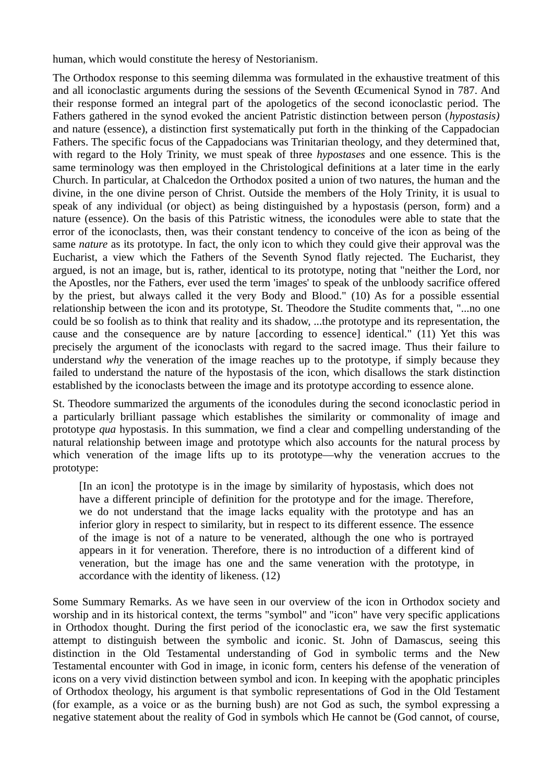human, which would constitute the heresy of Nestorianism.

The Orthodox response to this seeming dilemma was formulated in the exhaustive treatment of this and all iconoclastic arguments during the sessions of the Seventh Œcumenical Synod in 787. And their response formed an integral part of the apologetics of the second iconoclastic period. The Fathers gathered in the synod evoked the ancient Patristic distinction between person (*hypostasis)* and nature (essence), a distinction first systematically put forth in the thinking of the Cappadocian Fathers. The specific focus of the Cappadocians was Trinitarian theology, and they determined that, with regard to the Holy Trinity, we must speak of three *hypostases* and one essence. This is the same terminology was then employed in the Christological definitions at a later time in the early Church. In particular, at Chalcedon the Orthodox posited a union of two natures, the human and the divine, in the one divine person of Christ. Outside the members of the Holy Trinity, it is usual to speak of any individual (or object) as being distinguished by a hypostasis (person, form) and a nature (essence). On the basis of this Patristic witness, the iconodules were able to state that the error of the iconoclasts, then, was their constant tendency to conceive of the icon as being of the same *nature* as its prototype. In fact, the only icon to which they could give their approval was the Eucharist, a view which the Fathers of the Seventh Synod flatly rejected. The Eucharist, they argued, is not an image, but is, rather, identical to its prototype, noting that "neither the Lord, nor the Apostles, nor the Fathers, ever used the term 'images' to speak of the unbloody sacrifice offered by the priest, but always called it the very Body and Blood." (10) As for a possible essential relationship between the icon and its prototype, St. Theodore the Studite comments that, "...no one could be so foolish as to think that reality and its shadow, ...the prototype and its representation, the cause and the consequence are by nature [according to essence] identical." (11) Yet this was precisely the argument of the iconoclasts with regard to the sacred image. Thus their failure to understand *why* the veneration of the image reaches up to the prototype, if simply because they failed to understand the nature of the hypostasis of the icon, which disallows the stark distinction established by the iconoclasts between the image and its prototype according to essence alone.

St. Theodore summarized the arguments of the iconodules during the second iconoclastic period in a particularly brilliant passage which establishes the similarity or commonality of image and prototype *qua* hypostasis. In this summation, we find a clear and compelling understanding of the natural relationship between image and prototype which also accounts for the natural process by which veneration of the image lifts up to its prototype—why the veneration accrues to the prototype:

[In an icon] the prototype is in the image by similarity of hypostasis, which does not have a different principle of definition for the prototype and for the image. Therefore, we do not understand that the image lacks equality with the prototype and has an inferior glory in respect to similarity, but in respect to its different essence. The essence of the image is not of a nature to be venerated, although the one who is portrayed appears in it for veneration. Therefore, there is no introduction of a different kind of veneration, but the image has one and the same veneration with the prototype, in accordance with the identity of likeness. (12)

Some Summary Remarks. As we have seen in our overview of the icon in Orthodox society and worship and in its historical context, the terms "symbol" and "icon" have very specific applications in Orthodox thought. During the first period of the iconoclastic era, we saw the first systematic attempt to distinguish between the symbolic and iconic. St. John of Damascus, seeing this distinction in the Old Testamental understanding of God in symbolic terms and the New Testamental encounter with God in image, in iconic form, centers his defense of the veneration of icons on a very vivid distinction between symbol and icon. In keeping with the apophatic principles of Orthodox theology, his argument is that symbolic representations of God in the Old Testament (for example, as a voice or as the burning bush) are not God as such, the symbol expressing a negative statement about the reality of God in symbols which He cannot be (God cannot, of course,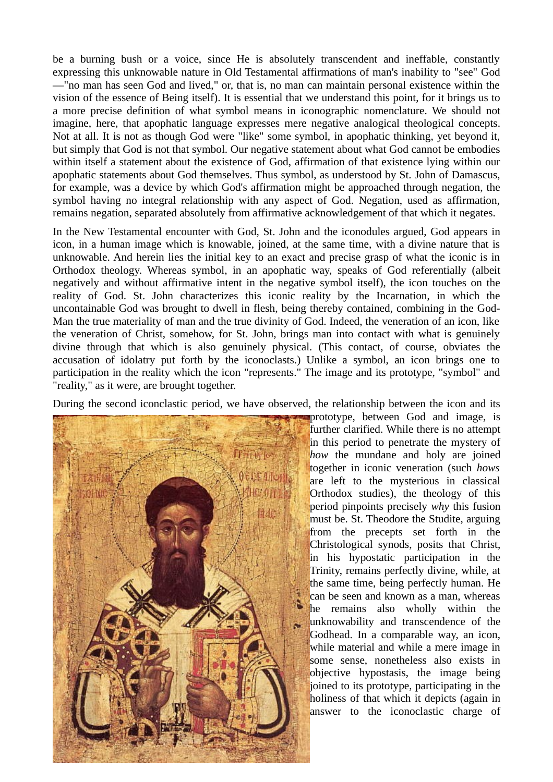be a burning bush or a voice, since He is absolutely transcendent and ineffable, constantly expressing this unknowable nature in Old Testamental affirmations of man's inability to "see" God —"no man has seen God and lived," or, that is, no man can maintain personal existence within the vision of the essence of Being itself). It is essential that we understand this point, for it brings us to a more precise definition of what symbol means in iconographic nomenclature. We should not imagine, here, that apophatic language expresses mere negative analogical theological concepts. Not at all. It is not as though God were "like" some symbol, in apophatic thinking, yet beyond it, but simply that God is not that symbol. Our negative statement about what God cannot be embodies within itself a statement about the existence of God, affirmation of that existence lying within our apophatic statements about God themselves. Thus symbol, as understood by St. John of Damascus, for example, was a device by which God's affirmation might be approached through negation, the symbol having no integral relationship with any aspect of God. Negation, used as affirmation, remains negation, separated absolutely from affirmative acknowledgement of that which it negates.

In the New Testamental encounter with God, St. John and the iconodules argued, God appears in icon, in a human image which is knowable, joined, at the same time, with a divine nature that is unknowable. And herein lies the initial key to an exact and precise grasp of what the iconic is in Orthodox theology. Whereas symbol, in an apophatic way, speaks of God referentially (albeit negatively and without affirmative intent in the negative symbol itself), the icon touches on the reality of God. St. John characterizes this iconic reality by the Incarnation, in which the uncontainable God was brought to dwell in flesh, being thereby contained, combining in the God-Man the true materiality of man and the true divinity of God. Indeed, the veneration of an icon, like the veneration of Christ, somehow, for St. John, brings man into contact with what is genuinely divine through that which is also genuinely physical. (This contact, of course, obviates the accusation of idolatry put forth by the iconoclasts.) Unlike a symbol, an icon brings one to participation in the reality which the icon "represents." The image and its prototype, "symbol" and "reality," as it were, are brought together.

During the second iconclastic period, we have observed, the relationship between the icon and its



prototype, between God and image, is further clarified. While there is no attempt in this period to penetrate the mystery of *how* the mundane and holy are joined together in iconic veneration (such *hows* are left to the mysterious in classical Orthodox studies), the theology of this period pinpoints precisely *why* this fusion must be. St. Theodore the Studite, arguing from the precepts set forth in the Christological synods, posits that Christ, in his hypostatic participation in the Trinity, remains perfectly divine, while, at the same time, being perfectly human. He can be seen and known as a man, whereas he remains also wholly within the unknowability and transcendence of the Godhead. In a comparable way, an icon, while material and while a mere image in some sense, nonetheless also exists in objective hypostasis, the image being joined to its prototype, participating in the holiness of that which it depicts (again in answer to the iconoclastic charge of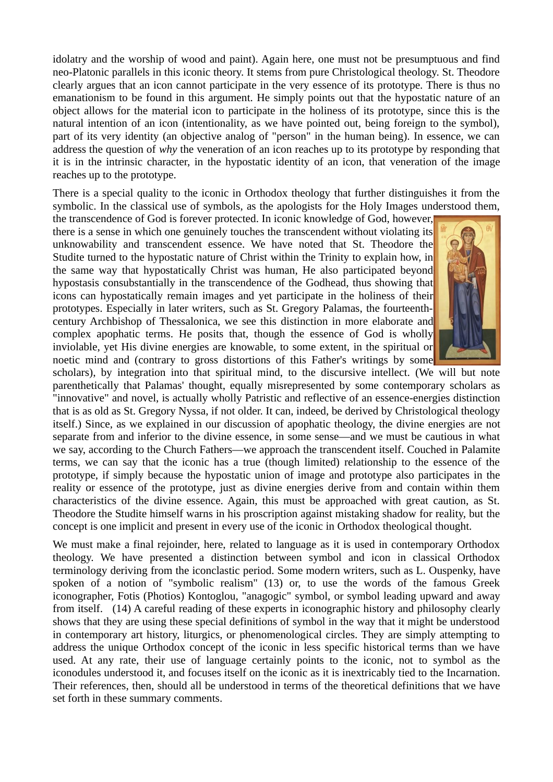idolatry and the worship of wood and paint). Again here, one must not be presumptuous and find neo-Platonic parallels in this iconic theory. It stems from pure Christological theology. St. Theodore clearly argues that an icon cannot participate in the very essence of its prototype. There is thus no emanationism to be found in this argument. He simply points out that the hypostatic nature of an object allows for the material icon to participate in the holiness of its prototype, since this is the natural intention of an icon (intentionality, as we have pointed out, being foreign to the symbol), part of its very identity (an objective analog of "person" in the human being). In essence, we can address the question of *why* the veneration of an icon reaches up to its prototype by responding that it is in the intrinsic character, in the hypostatic identity of an icon, that veneration of the image reaches up to the prototype.

There is a special quality to the iconic in Orthodox theology that further distinguishes it from the symbolic. In the classical use of symbols, as the apologists for the Holy Images understood them,

the transcendence of God is forever protected. In iconic knowledge of God, however, there is a sense in which one genuinely touches the transcendent without violating its unknowability and transcendent essence. We have noted that St. Theodore the Studite turned to the hypostatic nature of Christ within the Trinity to explain how, in the same way that hypostatically Christ was human, He also participated beyond hypostasis consubstantially in the transcendence of the Godhead, thus showing that icons can hypostatically remain images and yet participate in the holiness of their prototypes. Especially in later writers, such as St. Gregory Palamas, the fourteenthcentury Archbishop of Thessalonica, we see this distinction in more elaborate and complex apophatic terms. He posits that, though the essence of God is wholly inviolable, yet His divine energies are knowable, to some extent, in the spiritual or noetic mind and (contrary to gross distortions of this Father's writings by some



scholars), by integration into that spiritual mind, to the discursive intellect. (We will but note parenthetically that Palamas' thought, equally misrepresented by some contemporary scholars as "innovative" and novel, is actually wholly Patristic and reflective of an essence-energies distinction that is as old as St. Gregory Nyssa, if not older. It can, indeed, be derived by Christological theology itself.) Since, as we explained in our discussion of apophatic theology, the divine energies are not separate from and inferior to the divine essence, in some sense—and we must be cautious in what we say, according to the Church Fathers—we approach the transcendent itself. Couched in Palamite terms, we can say that the iconic has a true (though limited) relationship to the essence of the prototype, if simply because the hypostatic union of image and prototype also participates in the reality or essence of the prototype, just as divine energies derive from and contain within them characteristics of the divine essence. Again, this must be approached with great caution, as St. Theodore the Studite himself warns in his proscription against mistaking shadow for reality, but the concept is one implicit and present in every use of the iconic in Orthodox theological thought.

We must make a final rejoinder, here, related to language as it is used in contemporary Orthodox theology. We have presented a distinction between symbol and icon in classical Orthodox terminology deriving from the iconclastic period. Some modern writers, such as L. Ouspenky, have spoken of a notion of "symbolic realism" (13) or, to use the words of the famous Greek iconographer, Fotis (Photios) Kontoglou, "anagogic" symbol, or symbol leading upward and away from itself. (14) A careful reading of these experts in iconographic history and philosophy clearly shows that they are using these special definitions of symbol in the way that it might be understood in contemporary art history, liturgics, or phenomenological circles. They are simply attempting to address the unique Orthodox concept of the iconic in less specific historical terms than we have used. At any rate, their use of language certainly points to the iconic, not to symbol as the iconodules understood it, and focuses itself on the iconic as it is inextricably tied to the Incarnation. Their references, then, should all be understood in terms of the theoretical definitions that we have set forth in these summary comments.